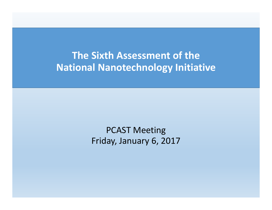**The Sixth Assessment of the National Nanotechnology Initiative**

> PCAST Meeting Friday, January 6, 2017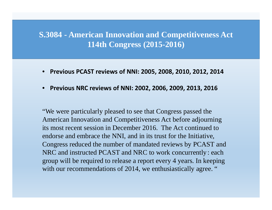## **S.3084 - American Innovation and Competitiveness Act 114th Congress (2015-2016)**

- •**Previous PCAST reviews of NNI: 2005, 2008, 2010, 2012, 2014**
- •**Previous NRC reviews of NNI: 2002, 2006, 2009, 2013, 2016**

"We were particularly pleased to see that Congress passed the American Innovation and Competitiveness Act before adjourning its most recent session in December 2016. The Act continued to endorse and embrace the NNI, and in its trust for the Initiative, Congress reduced the number of mandated reviews by PCAST and NRC and instructed PCAST and NRC to work concurrently: each group will be required to release a report every 4 years. In keeping with our recommendations of 2014, we enthusiastically agree. "